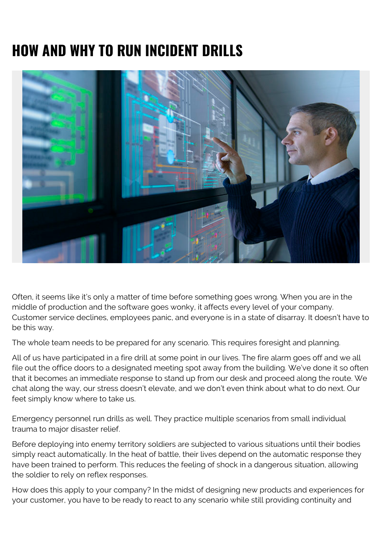# **HOW AND WHY TO RUN INCIDENT DRILLS**



Often, it seems like it's only a matter of time before something goes wrong. When you are in the middle of production and the software goes wonky, it affects every level of your company. Customer service declines, employees panic, and everyone is in a state of disarray. It doesn't have to be this way.

The whole team needs to be prepared for any scenario. This requires foresight and planning.

All of us have participated in a fire drill at some point in our lives. The fire alarm goes off and we all file out the office doors to a designated meeting spot away from the building. We've done it so often that it becomes an immediate response to stand up from our desk and proceed along the route. We chat along the way, our stress doesn't elevate, and we don't even think about what to do next. Our feet simply know where to take us.

Emergency personnel run drills as well. They practice multiple scenarios from small individual trauma to major disaster relief.

Before deploying into enemy territory soldiers are subjected to various situations until their bodies simply react automatically. In the heat of battle, their lives depend on the automatic response they have been trained to perform. This reduces the feeling of shock in a dangerous situation, allowing the soldier to rely on reflex responses.

How does this apply to your company? In the midst of designing new products and experiences for your customer, you have to be ready to react to any scenario while still providing continuity and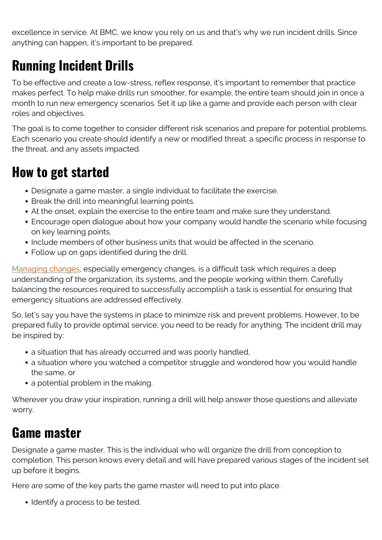excellence in service. At BMC, we know you rely on us and that's why we run incident drills. Since anything can happen, it's important to be prepared.

## **Running Incident Drills**

To be effective and create a low-stress, reflex response, it's important to remember that practice makes perfect. To help make drills run smoother, for example, the entire team should join in once a month to run new emergency scenarios. Set it up like a game and provide each person with clear roles and objectives.

The goal is to come together to consider different risk scenarios and prepare for potential problems. Each scenario you create should identify a new or modified threat, a specific process in response to the threat, and any assets impacted.

#### **How to get started**

- Designate a game master, a single individual to facilitate the exercise.
- Break the drill into meaningful learning points.
- At the onset, explain the exercise to the entire team and make sure they understand.
- Encourage open dialogue about how your company would handle the scenario while focusing on key learning points.
- Include members of other business units that would be affected in the scenario.
- Follow up on gaps identified during the drill.

[Managing changes](https://blogs.bmc.com/blogs/ecab-emergency-change-advisory-board/), especially emergency changes, is a difficult task which requires a deep understanding of the organization, its systems, and the people working within them. Carefully balancing the resources required to successfully accomplish a task is essential for ensuring that emergency situations are addressed effectively.

So, let's say you have the systems in place to minimize risk and prevent problems. However, to be prepared fully to provide optimal service, you need to be ready for anything. The incident drill may be inspired by:

- a situation that has already occurred and was poorly handled,
- a situation where you watched a competitor struggle and wondered how you would handle the same, or
- a potential problem in the making.

Wherever you draw your inspiration, running a drill will help answer those questions and alleviate worry.

#### **Game master**

Designate a game master. This is the individual who will organize the drill from conception to completion. This person knows every detail and will have prepared various stages of the incident set up before it begins.

Here are some of the key parts the game master will need to put into place.

• Identify a process to be tested.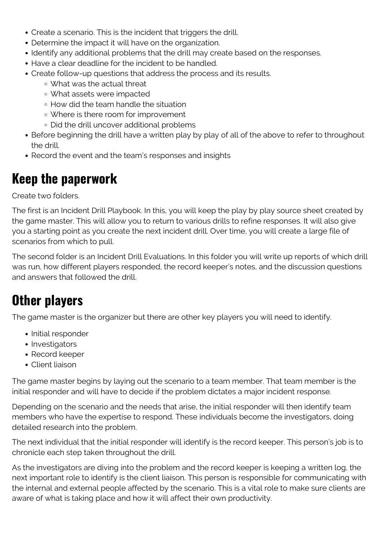- Create a scenario. This is the incident that triggers the drill.
- Determine the impact it will have on the organization.
- Identify any additional problems that the drill may create based on the responses.
- Have a clear deadline for the incident to be handled.
- Create follow-up questions that address the process and its results.
	- What was the actual threat
	- What assets were impacted
	- How did the team handle the situation
	- Where is there room for improvement
	- Did the drill uncover additional problems
- Before beginning the drill have a written play by play of all of the above to refer to throughout the drill.
- Record the event and the team's responses and insights

#### **Keep the paperwork**

Create two folders.

The first is an Incident Drill Playbook. In this, you will keep the play by play source sheet created by the game master. This will allow you to return to various drills to refine responses. It will also give you a starting point as you create the next incident drill. Over time, you will create a large file of scenarios from which to pull.

The second folder is an Incident Drill Evaluations. In this folder you will write up reports of which drill was run, how different players responded, the record keeper's notes, and the discussion questions and answers that followed the drill.

### **Other players**

The game master is the organizer but there are other key players you will need to identify.

- Initial responder
- Investigators
- Record keeper
- Client liaison

The game master begins by laying out the scenario to a team member. That team member is the initial responder and will have to decide if the problem dictates a major incident response.

Depending on the scenario and the needs that arise, the initial responder will then identify team members who have the expertise to respond. These individuals become the investigators, doing detailed research into the problem.

The next individual that the initial responder will identify is the record keeper. This person's job is to chronicle each step taken throughout the drill.

As the investigators are diving into the problem and the record keeper is keeping a written log, the next important role to identify is the client liaison. This person is responsible for communicating with the internal and external people affected by the scenario. This is a vital role to make sure clients are aware of what is taking place and how it will affect their own productivity.